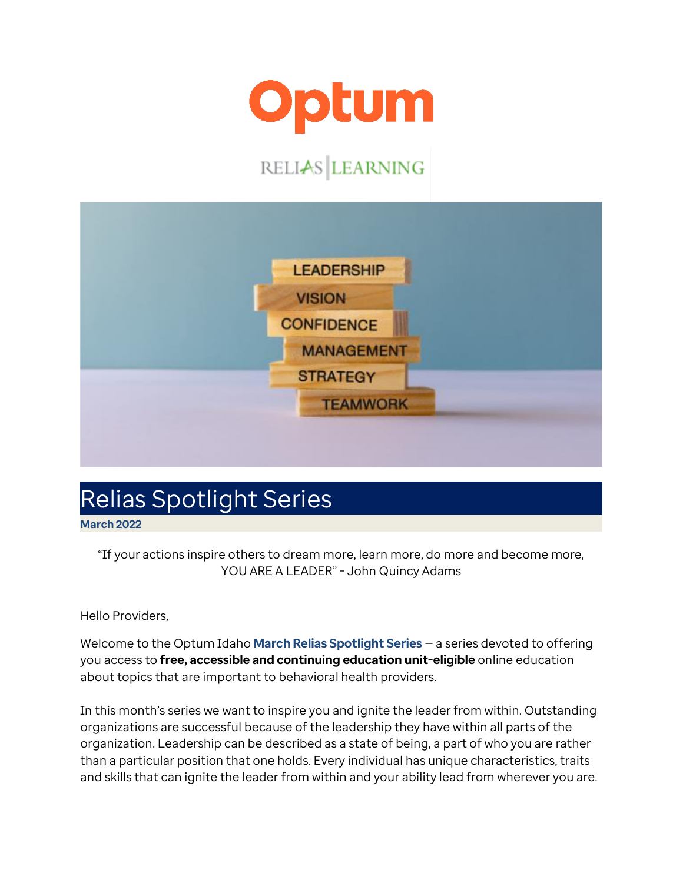

## RELIAS LEARNING



## Relias Spotlight Series

**March 2022**

"If your actions inspire others to dream more, learn more, do more and become more, YOU ARE A LEADER" - John Quincy Adams

Hello Providers,

Welcome to the Optum Idaho **March Relias Spotlight Series** — a series devoted to offering you access to **free, accessible and continuing education unit-eligible** online education about topics that are important to behavioral health providers.

In this month's series we want to inspire you and ignite the leader from within. Outstanding organizations are successful because of the leadership they have within all parts of the organization. Leadership can be described as a state of being, a part of who you are rather than a particular position that one holds. Every individual has unique characteristics, traits and skills that can ignite the leader from within and your ability lead from wherever you are.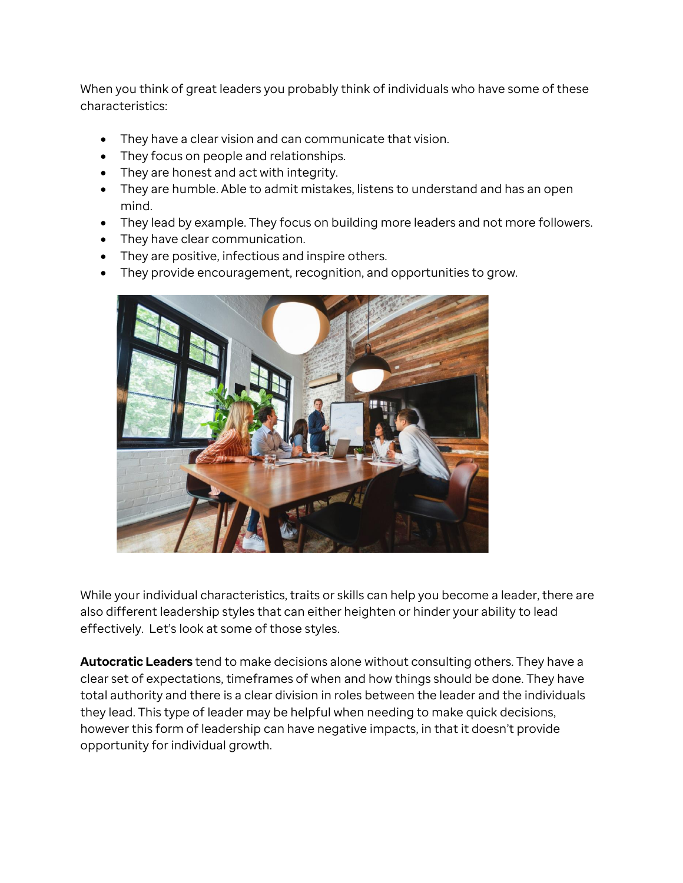When you think of great leaders you probably think of individuals who have some of these characteristics:

- They have a clear vision and can communicate that vision.
- They focus on people and relationships.
- They are honest and act with integrity.
- They are humble. Able to admit mistakes, listens to understand and has an open mind.
- They lead by example. They focus on building more leaders and not more followers.
- They have clear communication.
- They are positive, infectious and inspire others.
- They provide encouragement, recognition, and opportunities to grow.



While your individual characteristics, traits or skills can help you become a leader, there are also different leadership styles that can either heighten or hinder your ability to lead effectively. Let's look at some of those styles.

**Autocratic Leaders** tend to make decisions alone without consulting others. They have a clear set of expectations, timeframes of when and how things should be done. They have total authority and there is a clear division in roles between the leader and the individuals they lead. This type of leader may be helpful when needing to make quick decisions, however this form of leadership can have negative impacts, in that it doesn't provide opportunity for individual growth.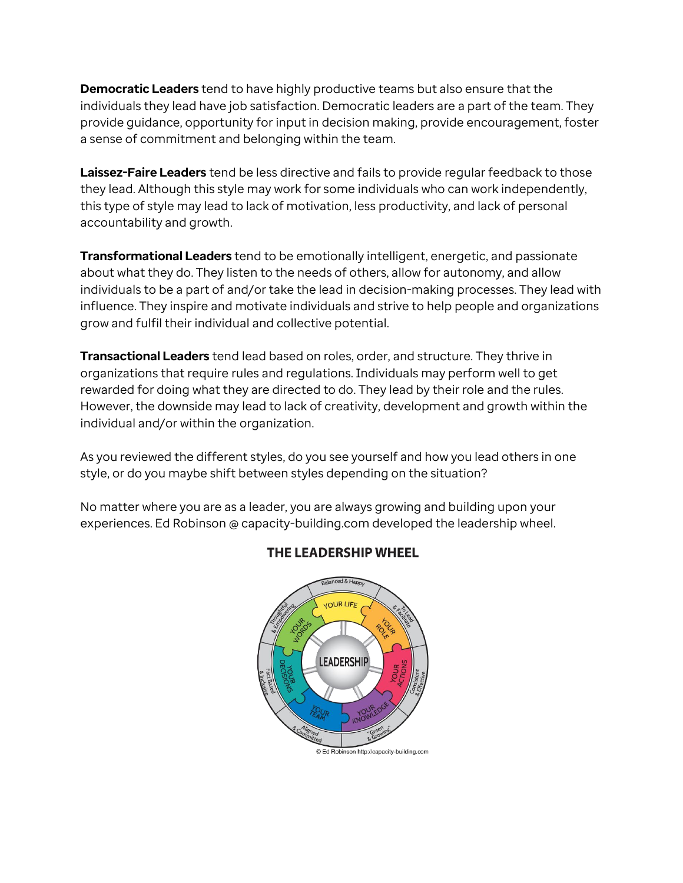**Democratic Leaders** tend to have highly productive teams but also ensure that the individuals they lead have job satisfaction. Democratic leaders are a part of the team. They provide guidance, opportunity for input in decision making, provide encouragement, foster a sense of commitment and belonging within the team.

**Laissez-Faire Leaders** tend be less directive and fails to provide regular feedback to those they lead. Although this style may work for some individuals who can work independently, this type of style may lead to lack of motivation, less productivity, and lack of personal accountability and growth.

**Transformational Leaders** tend to be emotionally intelligent, energetic, and passionate about what they do. They listen to the needs of others, allow for autonomy, and allow individuals to be a part of and/or take the lead in decision-making processes. They lead with influence. They inspire and motivate individuals and strive to help people and organizations grow and fulfil their individual and collective potential.

**Transactional Leaders** tend lead based on roles, order, and structure. They thrive in organizations that require rules and regulations. Individuals may perform well to get rewarded for doing what they are directed to do. They lead by their role and the rules. However, the downside may lead to lack of creativity, development and growth within the individual and/or within the organization.

As you reviewed the different styles, do you see yourself and how you lead others in one style, or do you maybe shift between styles depending on the situation?

No matter where you are as a leader, you are always growing and building upon your experiences. Ed Robinson @ capacity-building.com developed the leadership wheel.



## THE LEADERSHIP WHEEL

© Ed Robinson http://capacity-building.com